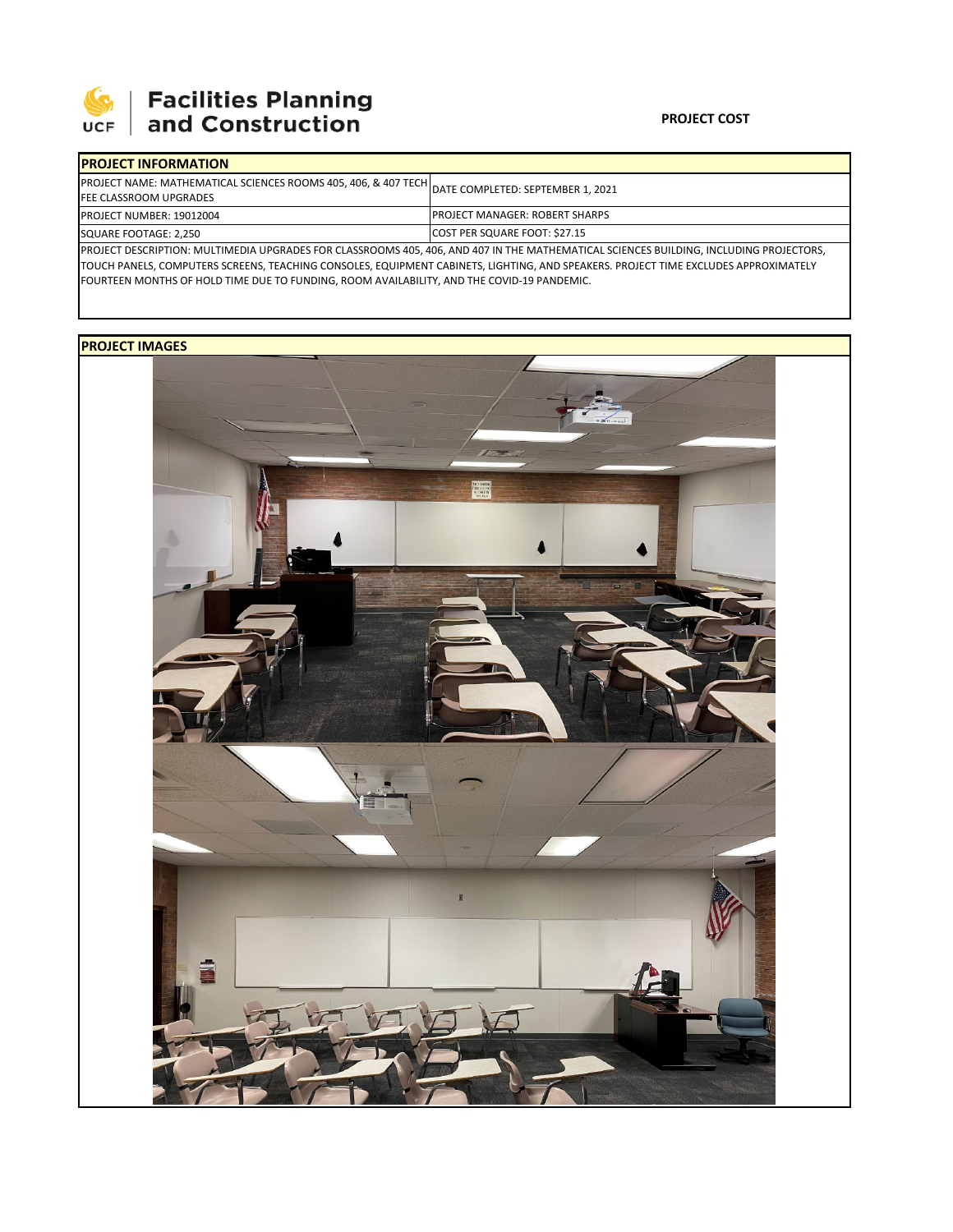

## **SEPTE AND Facilities Planning**<br>UCF and Construction

| <b>IPROJECT INFORMATION</b>                                                                                                       |                                                                                                                                        |  |  |  |
|-----------------------------------------------------------------------------------------------------------------------------------|----------------------------------------------------------------------------------------------------------------------------------------|--|--|--|
| PROJECT NAME: MATHEMATICAL SCIENCES ROOMS 405, 406, & 407 TECH DATE COMPLETED: SEPTEMBER 1, 2021<br><b>FEE CLASSROOM UPGRADES</b> |                                                                                                                                        |  |  |  |
| <b>PROJECT NUMBER: 19012004</b>                                                                                                   | <b>IPROJECT MANAGER: ROBERT SHARPS</b>                                                                                                 |  |  |  |
| SQUARE FOOTAGE: 2,250                                                                                                             | COST PER SQUARE FOOT: \$27.15                                                                                                          |  |  |  |
|                                                                                                                                   | PROJECT DESCRIPTION: MULTIMEDIA UPGRADES FOR CLASSROOMS 405, 406, AND 407 IN THE MATHEMATICAL SCIENCES BUILDING, INCLUDING PROJECTORS, |  |  |  |

TOUCH PANELS, COMPUTERS SCREENS, TEACHING CONSOLES, EQUIPMENT CABINETS, LIGHTING, AND SPEAKERS. PROJECT TIME EXCLUDES APPROXIMATELY FOURTEEN MONTHS OF HOLD TIME DUE TO FUNDING, ROOM AVAILABILITY, AND THE COVID‐19 PANDEMIC.

## **PROJECT IMAGES**